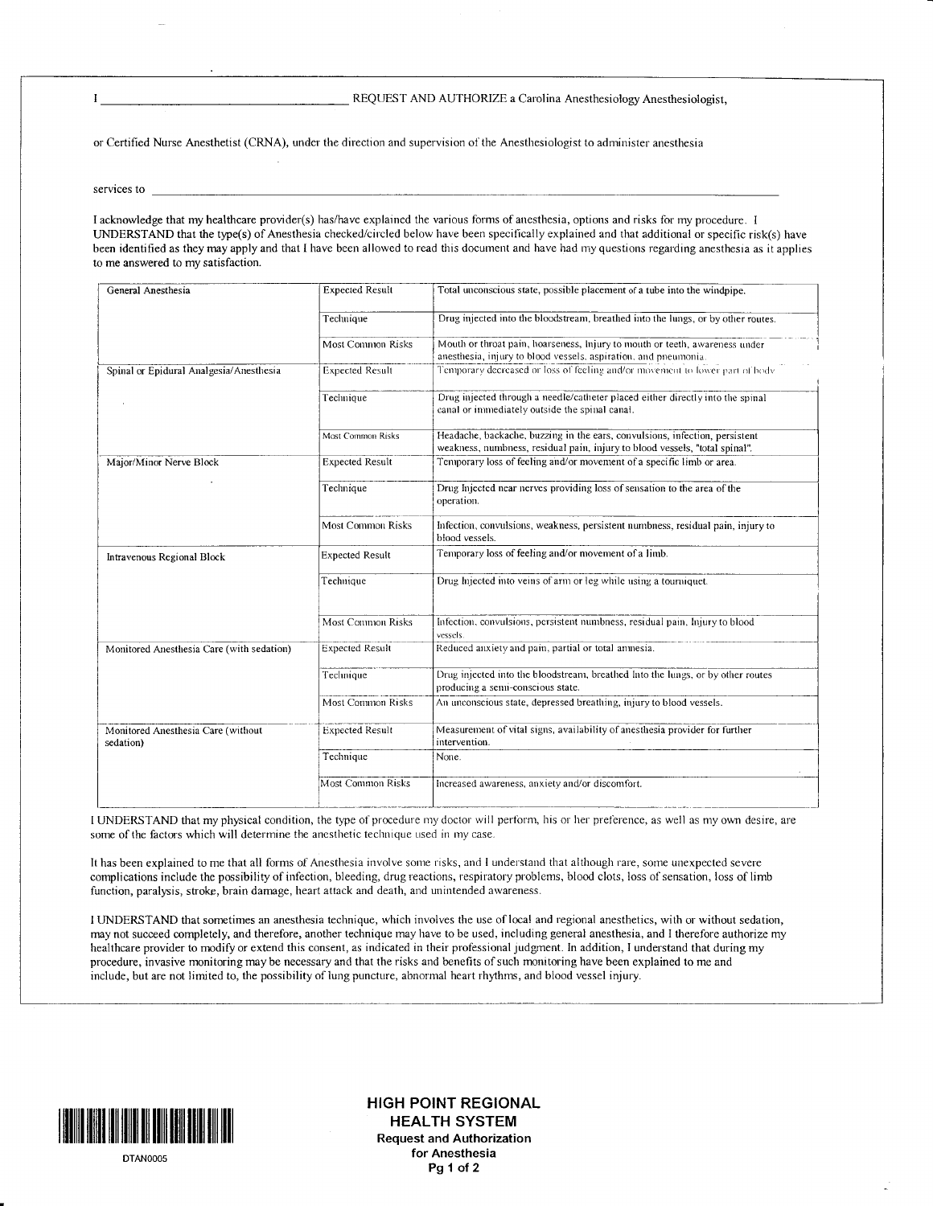## REQUEST AND AUTHORIZE a Carolina Anesthesiology Anesthesiologist,

or Certified Nurse Anesthetist (CRNA), under the direction and supervision of the Anesthesiologist to administer anesthesia

services to

 $\bf{I}$ 

I acknowledge that my healthcare provider(s) has/have explained the various forms of anesthesia, options and risks for my procedure. I UNDERSTAND that the type(s) of Anesthesia checked/circled below have been specifically explained and that additional or specific risk(s) have been identified as they may apply and that I have been allowed to read this document and have had my questions regarding anesthesia as it applies to me answered to my satisfaction.

| General Anesthesia                              | <b>Expected Result</b>   | Total unconscious state, possible placement of a tube into the windpipe.                                                                                   |
|-------------------------------------------------|--------------------------|------------------------------------------------------------------------------------------------------------------------------------------------------------|
|                                                 | Technique                | Drug injected into the bloodstream, breathed into the lungs, or by other routes.                                                                           |
|                                                 | Most Common Risks        | Mouth or throat pain, hoarseness, lnjury to mouth or teeth, awareness under<br>anesthesia, injury to blood vessels, aspiration, and pneumonia.             |
| Spinal or Epidural Analgesia/Anesthesia         | <b>Expected Result</b>   | Temporary decreased or loss of feeling and/or movement to lower part of body                                                                               |
|                                                 | Technique                | Drug injected through a needle/catheter placed either directly into the spinal<br>canal or immediately outside the spinal canal.                           |
|                                                 | Most Common Risks        | Headache, backache, buzzing in the ears, convulsions, infection, persistent<br>weakness, numbness, residual pain, injury to blood vessels, "total spinal". |
| Major/Minor Nerve Block                         | <b>Expected Result</b>   | Temporary loss of feeling and/or movement of a specific limb or area.                                                                                      |
|                                                 | Technique                | Drug Injected near nerves providing loss of sensation to the area of the<br>operation.                                                                     |
|                                                 | Most Common Risks        | Infection, convulsions, weakness, persistent numbness, residual pain, injury to<br>blood vessels.                                                          |
| Intravenous Regional Block                      | <b>Expected Result</b>   | Temporary loss of feeling and/or movement of a limb.                                                                                                       |
|                                                 | Technique                | Drug Injected into veins of arm or leg while using a tourniquet.                                                                                           |
|                                                 | <b>Most Common Risks</b> | Infection, convulsions, persistent numbness, residual pain, Injury to blood<br>vessels.                                                                    |
| Monitored Anesthesia Care (with sedation)       | <b>Expected Result</b>   | Reduced anxiety and pain, partial or total anmesia.                                                                                                        |
|                                                 | Technique                | Drug injected into the bloodstream, breathed Into the lungs, or by other routes<br>producing a semi-conscious state.                                       |
|                                                 | Most Common Risks        | An unconscious state, depressed breathing, injury to blood vessels.                                                                                        |
| Monitored Anesthesia Care (without<br>sedation) | <b>Expected Result</b>   | Measurement of vital signs, availability of anesthesia provider for further<br>intervention.                                                               |
|                                                 | Technique                | None.                                                                                                                                                      |
|                                                 | <b>Most Common Risks</b> | Increased awareness, anxiety and/or discomfort.                                                                                                            |

I UNDERSTAND that my physical condition, the type of procedure my doctor will perform, his or her preference, as well as my own desire, are some of the factors which will determine the anesthetic technique used in my case.

It has been explained to me that all forms of Anesthesia involve some risks, and I understand that although rare, some unexpected severe complications include the possibility of infection, bleeding, drug reactions, respiratory problems, blood clots, loss of sensation, loss of limb function, paralysis, stroke, brain damage, heart attack and death, and unintended awareness.

I UNDERSTAND that sometimes an anesthesia technique, which involves the use of local and regional anesthetics, with or without sedation, may not succeed completely, and therefore, another technique may have to be used, including general anesthesia, and I therefore authorize my healthcare provider to modify or extend this consent, as indicated in their professional judgment. In addition, I understand that during my procedure, invasive monitoring may be necessary and that the risks and benefits of such monitoring have been explained to me and include, but are not limited to, the possibility of lung puncture, abnormal heart rhythms, and blood vessel injury.



DTANOOO5

| ilililil Itil ilil] |tiltil ilil il] til lill HIGH POINT REGIONAL HEALTH SYSTEM Request and Authorization for Anesthesia Pg<sub>1</sub> of 2